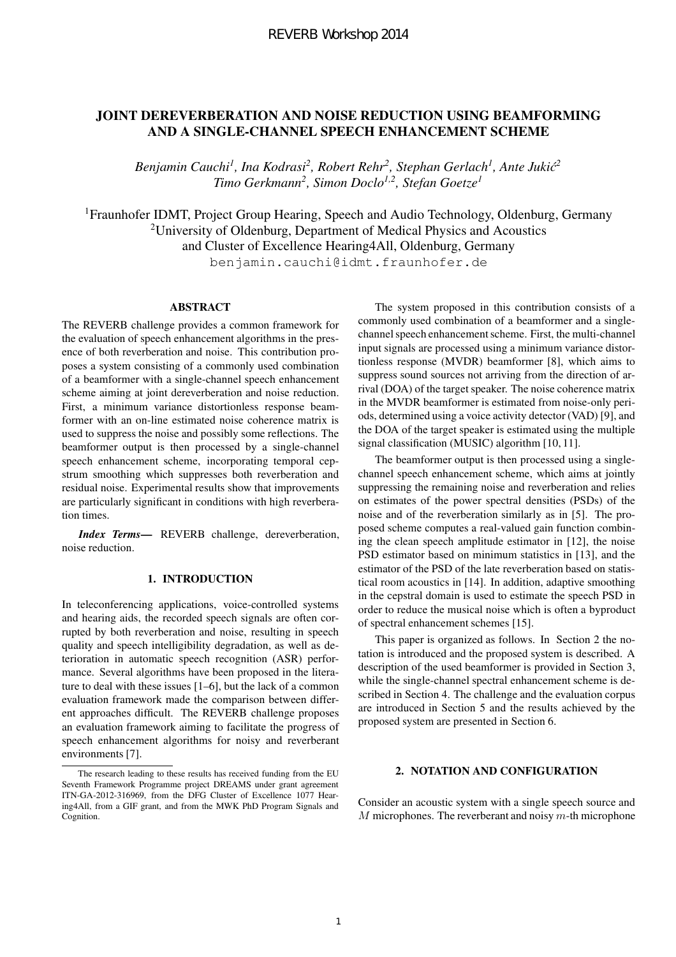# JOINT DEREVERBERATION AND NOISE REDUCTION USING BEAMFORMING AND A SINGLE-CHANNEL SPEECH ENHANCEMENT SCHEME

*Benjamin Cauchi<sup>1</sup> , Ina Kodrasi<sup>2</sup> , Robert Rehr<sup>2</sup> , Stephan Gerlach<sup>1</sup> , Ante Jukic´ 2 Timo Gerkmann<sup>2</sup> , Simon Doclo1,2, Stefan Goetze<sup>1</sup>*

<sup>1</sup>Fraunhofer IDMT, Project Group Hearing, Speech and Audio Technology, Oldenburg, Germany <sup>2</sup>University of Oldenburg, Department of Medical Physics and Acoustics and Cluster of Excellence Hearing4All, Oldenburg, Germany benjamin.cauchi@idmt.fraunhofer.de

# **ABSTRACT**

The REVERB challenge provides a common framework for the evaluation of speech enhancement algorithms in the presence of both reverberation and noise. This contribution proposes a system consisting of a commonly used combination of a beamformer with a single-channel speech enhancement scheme aiming at joint dereverberation and noise reduction. First, a minimum variance distortionless response beamformer with an on-line estimated noise coherence matrix is used to suppress the noise and possibly some reflections. The beamformer output is then processed by a single-channel speech enhancement scheme, incorporating temporal cepstrum smoothing which suppresses both reverberation and residual noise. Experimental results show that improvements are particularly significant in conditions with high reverberation times.

*Index Terms*— REVERB challenge, dereverberation, noise reduction.

# 1. INTRODUCTION

In teleconferencing applications, voice-controlled systems and hearing aids, the recorded speech signals are often corrupted by both reverberation and noise, resulting in speech quality and speech intelligibility degradation, as well as deterioration in automatic speech recognition (ASR) performance. Several algorithms have been proposed in the literature to deal with these issues [1–6], but the lack of a common evaluation framework made the comparison between different approaches difficult. The REVERB challenge proposes an evaluation framework aiming to facilitate the progress of speech enhancement algorithms for noisy and reverberant environments [7].

The system proposed in this contribution consists of a commonly used combination of a beamformer and a singlechannel speech enhancement scheme. First, the multi-channel input signals are processed using a minimum variance distortionless response (MVDR) beamformer [8], which aims to suppress sound sources not arriving from the direction of arrival (DOA) of the target speaker. The noise coherence matrix in the MVDR beamformer is estimated from noise-only periods, determined using a voice activity detector (VAD) [9], and the DOA of the target speaker is estimated using the multiple signal classification (MUSIC) algorithm [10, 11].

The beamformer output is then processed using a singlechannel speech enhancement scheme, which aims at jointly suppressing the remaining noise and reverberation and relies on estimates of the power spectral densities (PSDs) of the noise and of the reverberation similarly as in [5]. The proposed scheme computes a real-valued gain function combining the clean speech amplitude estimator in [12], the noise PSD estimator based on minimum statistics in [13], and the estimator of the PSD of the late reverberation based on statistical room acoustics in [14]. In addition, adaptive smoothing in the cepstral domain is used to estimate the speech PSD in order to reduce the musical noise which is often a byproduct of spectral enhancement schemes [15].

This paper is organized as follows. In Section 2 the notation is introduced and the proposed system is described. A description of the used beamformer is provided in Section 3, while the single-channel spectral enhancement scheme is described in Section 4. The challenge and the evaluation corpus are introduced in Section 5 and the results achieved by the proposed system are presented in Section 6.

## 2. NOTATION AND CONFIGURATION

Consider an acoustic system with a single speech source and  $M$  microphones. The reverberant and noisy  $m$ -th microphone

The research leading to these results has received funding from the EU Seventh Framework Programme project DREAMS under grant agreement ITN-GA-2012-316969, from the DFG Cluster of Excellence 1077 Hearing4All, from a GIF grant, and from the MWK PhD Program Signals and Cognition.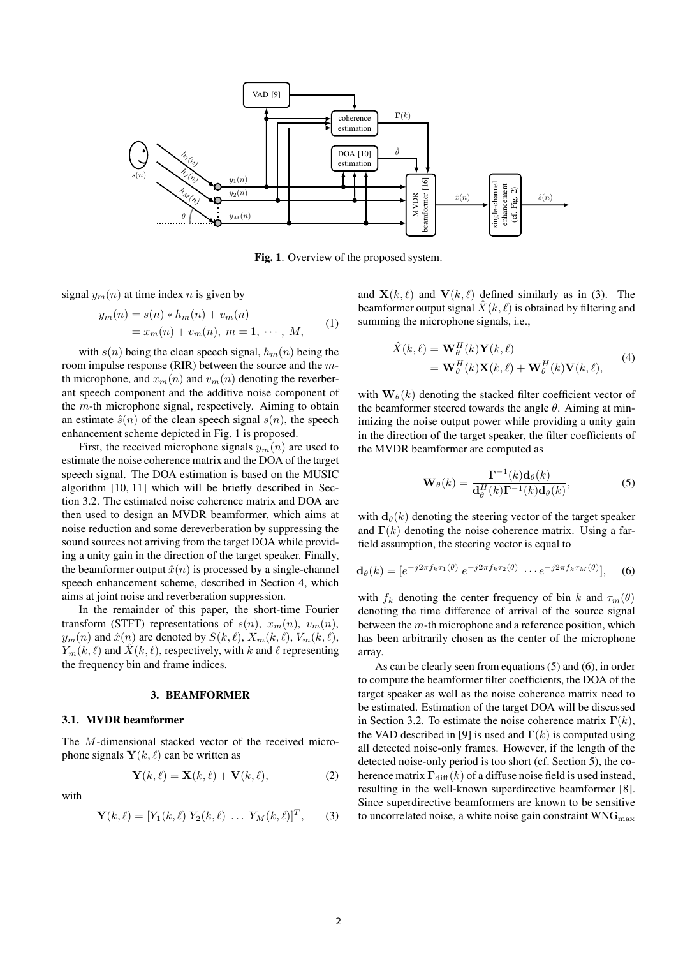

Fig. 1. Overview of the proposed system.

signal  $y_m(n)$  at time index n is given by

$$
y_m(n) = s(n) * h_m(n) + v_m(n)
$$
  
=  $x_m(n) + v_m(n), \ m = 1, \cdots, M,$  (1)

with  $s(n)$  being the clean speech signal,  $h_m(n)$  being the room impulse response (RIR) between the source and the mth microphone, and  $x_m(n)$  and  $v_m(n)$  denoting the reverberant speech component and the additive noise component of the  $m$ -th microphone signal, respectively. Aiming to obtain an estimate  $\hat{s}(n)$  of the clean speech signal  $s(n)$ , the speech enhancement scheme depicted in Fig. 1 is proposed.

First, the received microphone signals  $y_m(n)$  are used to estimate the noise coherence matrix and the DOA of the target speech signal. The DOA estimation is based on the MUSIC algorithm [10, 11] which will be briefly described in Section 3.2. The estimated noise coherence matrix and DOA are then used to design an MVDR beamformer, which aims at noise reduction and some dereverberation by suppressing the sound sources not arriving from the target DOA while providing a unity gain in the direction of the target speaker. Finally, the beamformer output  $\hat{x}(n)$  is processed by a single-channel speech enhancement scheme, described in Section 4, which aims at joint noise and reverberation suppression.

In the remainder of this paper, the short-time Fourier transform (STFT) representations of  $s(n)$ ,  $x_m(n)$ ,  $v_m(n)$ ,  $y_m(n)$  and  $\hat{x}(n)$  are denoted by  $S(k, \ell), X_m(k, \ell), V_m(k, \ell),$  $Y_m(k, \ell)$  and  $\hat{X}(k, \ell)$ , respectively, with k and  $\ell$  representing the frequency bin and frame indices.

#### 3. BEAMFORMER

## 3.1. MVDR beamformer

The M-dimensional stacked vector of the received microphone signals  $Y(k, \ell)$  can be written as

$$
\mathbf{Y}(k,\ell) = \mathbf{X}(k,\ell) + \mathbf{V}(k,\ell),\tag{2}
$$

with

$$
\mathbf{Y}(k,\ell) = [Y_1(k,\ell) \; Y_2(k,\ell) \; \dots \; Y_M(k,\ell)]^T, \qquad (3)
$$

and  $\mathbf{X}(k,\ell)$  and  $\mathbf{V}(k,\ell)$  defined similarly as in (3). The beamformer output signal  $\hat{X}(k, \ell)$  is obtained by filtering and summing the microphone signals, i.e.,

$$
\hat{X}(k,\ell) = \mathbf{W}_{\theta}^{H}(k)\mathbf{Y}(k,\ell)
$$
\n
$$
= \mathbf{W}_{\theta}^{H}(k)\mathbf{X}(k,\ell) + \mathbf{W}_{\theta}^{H}(k)\mathbf{V}(k,\ell),
$$
\n(4)

with  $\mathbf{W}_{\theta}(k)$  denoting the stacked filter coefficient vector of the beamformer steered towards the angle  $\theta$ . Aiming at minimizing the noise output power while providing a unity gain in the direction of the target speaker, the filter coefficients of the MVDR beamformer are computed as

$$
\mathbf{W}_{\theta}(k) = \frac{\mathbf{\Gamma}^{-1}(k)\mathbf{d}_{\theta}(k)}{\mathbf{d}_{\theta}^{H}(k)\mathbf{\Gamma}^{-1}(k)\mathbf{d}_{\theta}(k)},
$$
\n(5)

with  $d_{\theta}(k)$  denoting the steering vector of the target speaker and  $\Gamma(k)$  denoting the noise coherence matrix. Using a farfield assumption, the steering vector is equal to

$$
\mathbf{d}_{\theta}(k) = \left[e^{-j2\pi f_k \tau_1(\theta)} e^{-j2\pi f_k \tau_2(\theta)} \cdots e^{-j2\pi f_k \tau_M(\theta)}\right], \quad (6)
$$

with  $f_k$  denoting the center frequency of bin k and  $\tau_m(\theta)$ denoting the time difference of arrival of the source signal between the  $m$ -th microphone and a reference position, which has been arbitrarily chosen as the center of the microphone array.

As can be clearly seen from equations (5) and (6), in order to compute the beamformer filter coefficients, the DOA of the target speaker as well as the noise coherence matrix need to be estimated. Estimation of the target DOA will be discussed in Section 3.2. To estimate the noise coherence matrix  $\Gamma(k)$ , the VAD described in [9] is used and  $\Gamma(k)$  is computed using all detected noise-only frames. However, if the length of the detected noise-only period is too short (cf. Section 5), the coherence matrix  $\Gamma_{\text{diff}}(k)$  of a diffuse noise field is used instead, resulting in the well-known superdirective beamformer [8]. Since superdirective beamformers are known to be sensitive to uncorrelated noise, a white noise gain constraint  $WNG<sub>max</sub>$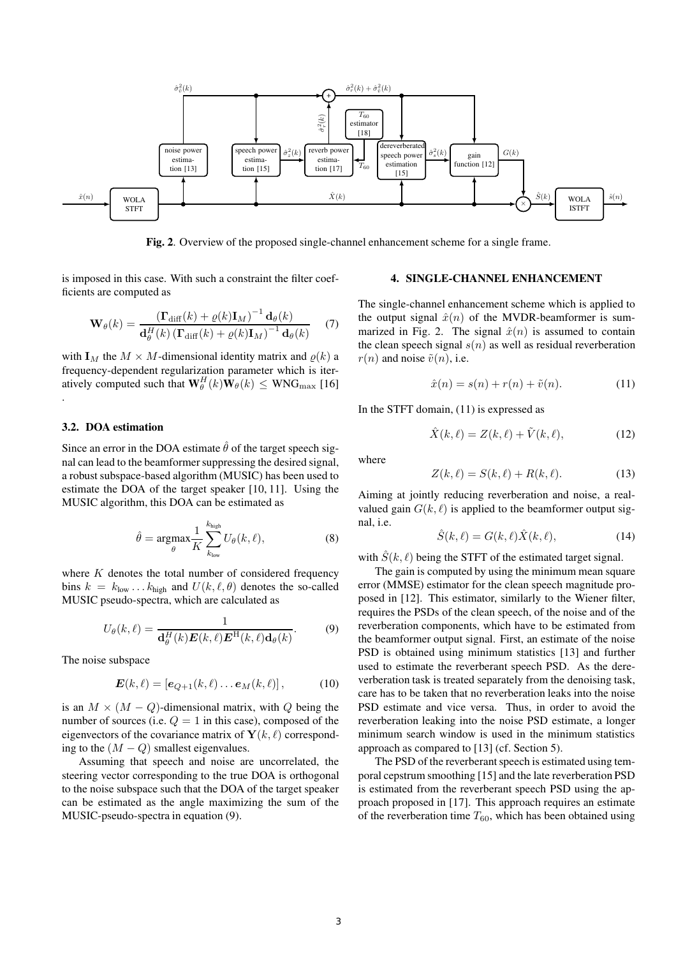

Fig. 2. Overview of the proposed single-channel enhancement scheme for a single frame.

is imposed in this case. With such a constraint the filter coefficients are computed as

$$
\mathbf{W}_{\theta}(k) = \frac{\left(\mathbf{\Gamma}_{\text{diff}}(k) + \varrho(k)\mathbf{I}_{M}\right)^{-1}\mathbf{d}_{\theta}(k)}{\mathbf{d}_{\theta}^{H}(k)\left(\mathbf{\Gamma}_{\text{diff}}(k) + \varrho(k)\mathbf{I}_{M}\right)^{-1}\mathbf{d}_{\theta}(k)}\tag{7}
$$

with  $I_M$  the  $M \times M$ -dimensional identity matrix and  $\rho(k)$  a frequency-dependent regularization parameter which is iteratively computed such that  $\mathbf{W}_{\theta}^{H}(k)\mathbf{W}_{\theta}(k) \leq$  WNG<sub>max</sub> [16] .

## 3.2. DOA estimation

Since an error in the DOA estimate  $\hat{\theta}$  of the target speech signal can lead to the beamformer suppressing the desired signal, a robust subspace-based algorithm (MUSIC) has been used to estimate the DOA of the target speaker [10, 11]. Using the MUSIC algorithm, this DOA can be estimated as

$$
\hat{\theta} = \underset{\theta}{\operatorname{argmax}} \frac{1}{K} \sum_{k_{\text{low}}}^{k_{\text{high}}} U_{\theta}(k, \ell), \tag{8}
$$

where  $K$  denotes the total number of considered frequency bins  $k = k_{\text{low}} \dots k_{\text{high}}$  and  $U(k, \ell, \theta)$  denotes the so-called MUSIC pseudo-spectra, which are calculated as

$$
U_{\theta}(k,\ell) = \frac{1}{\mathbf{d}_{\theta}^{H}(k)\boldsymbol{E}(k,\ell)\boldsymbol{E}^{H}(k,\ell)\mathbf{d}_{\theta}(k)}.
$$
(9)

The noise subspace

$$
\boldsymbol{E}(k,\ell) = \left[\boldsymbol{e}_{Q+1}(k,\ell)\ldots\boldsymbol{e}_M(k,\ell)\right],\tag{10}
$$

is an  $M \times (M - Q)$ -dimensional matrix, with Q being the number of sources (i.e.  $Q = 1$  in this case), composed of the eigenvectors of the covariance matrix of  $Y(k, \ell)$  corresponding to the  $(M - Q)$  smallest eigenvalues.

Assuming that speech and noise are uncorrelated, the steering vector corresponding to the true DOA is orthogonal to the noise subspace such that the DOA of the target speaker can be estimated as the angle maximizing the sum of the MUSIC-pseudo-spectra in equation (9).

# 4. SINGLE-CHANNEL ENHANCEMENT

The single-channel enhancement scheme which is applied to the output signal  $\hat{x}(n)$  of the MVDR-beamformer is summarized in Fig. 2. The signal  $\hat{x}(n)$  is assumed to contain the clean speech signal  $s(n)$  as well as residual reverberation  $r(n)$  and noise  $\tilde{v}(n)$ , i.e.

$$
\hat{x}(n) = s(n) + r(n) + \tilde{v}(n). \tag{11}
$$

In the STFT domain, (11) is expressed as

$$
\hat{X}(k,\ell) = Z(k,\ell) + \tilde{V}(k,\ell),\tag{12}
$$

where

$$
Z(k,\ell) = S(k,\ell) + R(k,\ell). \tag{13}
$$

Aiming at jointly reducing reverberation and noise, a realvalued gain  $G(k, \ell)$  is applied to the beamformer output signal, i.e.

$$
\hat{S}(k,\ell) = G(k,\ell)\hat{X}(k,\ell),\tag{14}
$$

with  $S(k, \ell)$  being the STFT of the estimated target signal.

The gain is computed by using the minimum mean square error (MMSE) estimator for the clean speech magnitude proposed in [12]. This estimator, similarly to the Wiener filter, requires the PSDs of the clean speech, of the noise and of the reverberation components, which have to be estimated from the beamformer output signal. First, an estimate of the noise PSD is obtained using minimum statistics [13] and further used to estimate the reverberant speech PSD. As the dereverberation task is treated separately from the denoising task, care has to be taken that no reverberation leaks into the noise PSD estimate and vice versa. Thus, in order to avoid the reverberation leaking into the noise PSD estimate, a longer minimum search window is used in the minimum statistics approach as compared to [13] (cf. Section 5).

The PSD of the reverberant speech is estimated using temporal cepstrum smoothing [15] and the late reverberation PSD is estimated from the reverberant speech PSD using the approach proposed in [17]. This approach requires an estimate of the reverberation time  $T_{60}$ , which has been obtained using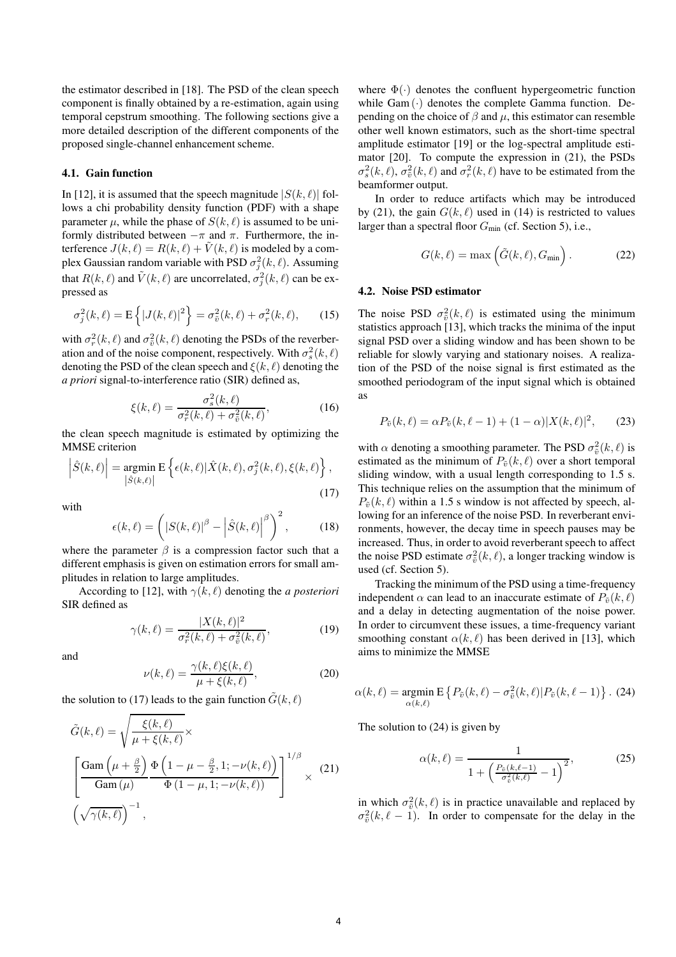the estimator described in [18]. The PSD of the clean speech component is finally obtained by a re-estimation, again using temporal cepstrum smoothing. The following sections give a more detailed description of the different components of the proposed single-channel enhancement scheme.

## 4.1. Gain function

In [12], it is assumed that the speech magnitude  $|S(k, \ell)|$  follows a chi probability density function (PDF) with a shape parameter  $\mu$ , while the phase of  $S(k, \ell)$  is assumed to be uniformly distributed between  $-\pi$  and  $\pi$ . Furthermore, the interference  $J(k, \ell) = R(k, \ell) + V(k, \ell)$  is modeled by a complex Gaussian random variable with PSD  $\sigma_j^2(k,\ell)$ . Assuming that  $R(k, \ell)$  and  $\tilde{V}(k, \ell)$  are uncorrelated,  $\sigma_j^2(k, \ell)$  can be expressed as

$$
\sigma_j^2(k,\ell) = \mathcal{E}\left\{|J(k,\ell)|^2\right\} = \sigma_{\tilde{v}}^2(k,\ell) + \sigma_r^2(k,\ell),\qquad(15)
$$

with  $\sigma_r^2(k,\ell)$  and  $\sigma_{\tilde{v}}^2(k,\ell)$  denoting the PSDs of the reverberation and of the noise component, respectively. With  $\sigma_s^2(k, \ell)$ denoting the PSD of the clean speech and  $\xi(k,\ell)$  denoting the *a priori* signal-to-interference ratio (SIR) defined as,

$$
\xi(k,\ell) = \frac{\sigma_s^2(k,\ell)}{\sigma_r^2(k,\ell) + \sigma_{\tilde{v}}^2(k,\ell)},\tag{16}
$$

the clean speech magnitude is estimated by optimizing the MMSE criterion

$$
\left| \hat{S}(k,\ell) \right| = \underset{\left| \hat{S}(k,\ell) \right|}{\text{argmin}} \mathbf{E} \left\{ \epsilon(k,\ell) | \hat{X}(k,\ell), \sigma_j^2(k,\ell), \xi(k,\ell) \right\},\tag{17}
$$

with

$$
\epsilon(k,\ell) = \left( |S(k,\ell)|^{\beta} - \left| \hat{S}(k,\ell) \right|^{\beta} \right)^2, \quad (18)
$$

where the parameter  $\beta$  is a compression factor such that a different emphasis is given on estimation errors for small amplitudes in relation to large amplitudes.

According to [12], with  $\gamma(k, \ell)$  denoting the *a posteriori* SIR defined as

$$
\gamma(k,\ell) = \frac{|X(k,\ell)|^2}{\sigma_r^2(k,\ell) + \sigma_{\tilde{v}}^2(k,\ell)},\tag{19}
$$

and

$$
\nu(k,\ell) = \frac{\gamma(k,\ell)\xi(k,\ell)}{\mu + \xi(k,\ell)},\tag{20}
$$

the solution to (17) leads to the gain function  $\tilde{G}(k, \ell)$ 

$$
\tilde{G}(k,\ell) = \sqrt{\frac{\xi(k,\ell)}{\mu + \xi(k,\ell)}} \times \left[\frac{\text{Gam}\left(\mu + \frac{\beta}{2}\right) \Phi\left(1 - \mu - \frac{\beta}{2}, 1; -\nu(k,\ell)\right)}{\text{Gam}\left(\mu\right)}\right]^{1/\beta} \times (21)
$$
\n
$$
\left(\sqrt{\gamma(k,\ell)}\right)^{-1},
$$

where  $\Phi(\cdot)$  denotes the confluent hypergeometric function while  $Gam(\cdot)$  denotes the complete Gamma function. Depending on the choice of  $\beta$  and  $\mu$ , this estimator can resemble other well known estimators, such as the short-time spectral amplitude estimator [19] or the log-spectral amplitude estimator [20]. To compute the expression in (21), the PSDs  $\sigma_s^2(k,\ell)$ ,  $\sigma_{\tilde{v}}^2(k,\ell)$  and  $\sigma_r^2(k,\ell)$  have to be estimated from the beamformer output.

In order to reduce artifacts which may be introduced by (21), the gain  $G(k, \ell)$  used in (14) is restricted to values larger than a spectral floor  $G_{\text{min}}$  (cf. Section 5), i.e.,

$$
G(k,\ell) = \max\left(\tilde{G}(k,\ell), G_{\min}\right). \tag{22}
$$

## 4.2. Noise PSD estimator

The noise PSD  $\sigma_{\tilde{v}}^2(k,\ell)$  is estimated using the minimum statistics approach [13], which tracks the minima of the input signal PSD over a sliding window and has been shown to be reliable for slowly varying and stationary noises. A realization of the PSD of the noise signal is first estimated as the smoothed periodogram of the input signal which is obtained as

$$
P_{\tilde{v}}(k,\ell) = \alpha P_{\tilde{v}}(k,\ell-1) + (1-\alpha)|X(k,\ell)|^2, \qquad (23)
$$

with  $\alpha$  denoting a smoothing parameter. The PSD  $\sigma_{\tilde{v}}^2(k,\ell)$  is estimated as the minimum of  $P_{\tilde{v}}(k, \ell)$  over a short temporal sliding window, with a usual length corresponding to 1.5 s. This technique relies on the assumption that the minimum of  $P_{\tilde{v}}(k, \ell)$  within a 1.5 s window is not affected by speech, allowing for an inference of the noise PSD. In reverberant environments, however, the decay time in speech pauses may be increased. Thus, in order to avoid reverberant speech to affect the noise PSD estimate  $\sigma_{\tilde{v}}^2(k,\ell)$ , a longer tracking window is used (cf. Section 5).

Tracking the minimum of the PSD using a time-frequency independent  $\alpha$  can lead to an inaccurate estimate of  $P_{\tilde{v}}(k, \ell)$ and a delay in detecting augmentation of the noise power. In order to circumvent these issues, a time-frequency variant smoothing constant  $\alpha(k, \ell)$  has been derived in [13], which aims to minimize the MMSE

$$
\alpha(k,\ell) = \underset{\alpha(k,\ell)}{\operatorname{argmin}} \mathbf{E} \left\{ P_{\tilde{v}}(k,\ell) - \sigma_{\tilde{v}}^2(k,\ell) | P_{\tilde{v}}(k,\ell-1) \right\}. (24)
$$

The solution to (24) is given by

$$
\alpha(k,\ell) = \frac{1}{1 + \left(\frac{P_{\tilde{v}}(k,\ell-1)}{\sigma_{\tilde{v}}^2(k,\ell)} - 1\right)^2},\tag{25}
$$

in which  $\sigma_{\tilde{v}}^2(k,\ell)$  is in practice unavailable and replaced by  $\sigma_{\tilde{v}}^2(k, \ell - 1)$ . In order to compensate for the delay in the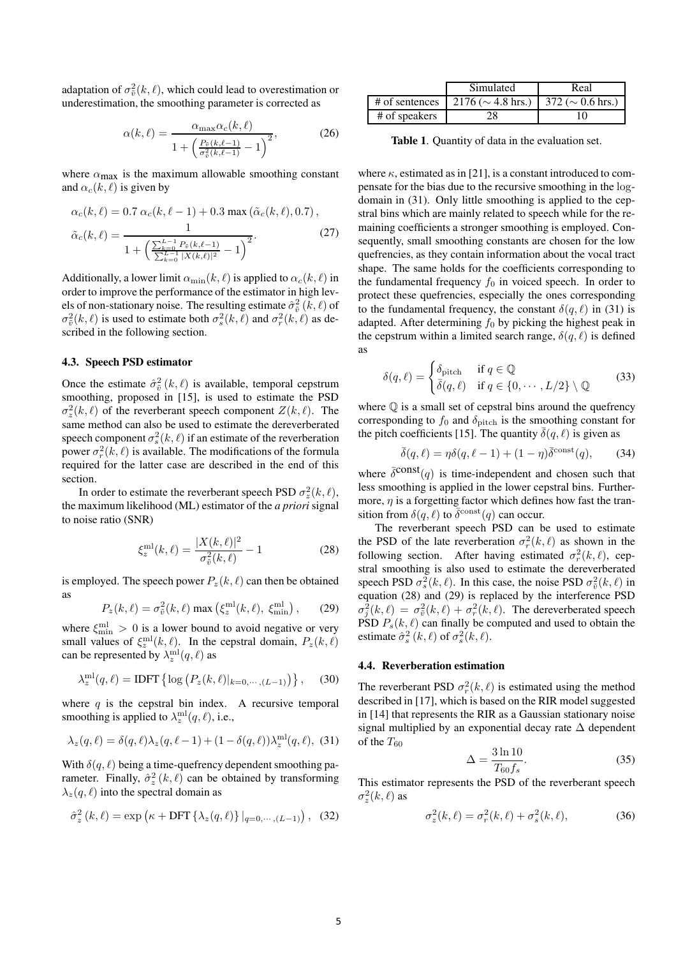adaptation of  $\sigma_{\tilde{v}}^2(k,\ell)$ , which could lead to overestimation or underestimation, the smoothing parameter is corrected as

$$
\alpha(k,\ell) = \frac{\alpha_{\max}\alpha_c(k,\ell)}{1 + \left(\frac{P_{\tilde{v}}(k,\ell-1)}{\sigma_{\tilde{v}}^2(k,\ell-1)} - 1\right)^2},\tag{26}
$$

where  $\alpha_{\text{max}}$  is the maximum allowable smoothing constant and  $\alpha_c(k, \ell)$  is given by

$$
\alpha_c(k,\ell) = 0.7 \ \alpha_c(k,\ell-1) + 0.3 \max(\tilde{\alpha}_c(k,\ell), 0.7),
$$

$$
\tilde{\alpha}_c(k,\ell) = \frac{1}{1 + \left(\frac{\sum_{k=0}^{L-1} P_{\tilde{v}}(k,\ell-1)}{\sum_{k=0}^{L-1} |X(k,\ell)|^2} - 1\right)^2}.
$$
(27)

Additionally, a lower limit  $\alpha_{\min}(k, \ell)$  is applied to  $\alpha_c(k, \ell)$  in order to improve the performance of the estimator in high levels of non-stationary noise. The resulting estimate  $\hat{\sigma}_{\tilde{v}}^2\left(k,\ell\right)$  of  $\sigma_{\tilde{v}}^2(k,\ell)$  is used to estimate both  $\sigma_s^2(k,\ell)$  and  $\sigma_r^2(k,\ell)$  as described in the following section.

#### 4.3. Speech PSD estimator

Once the estimate  $\hat{\sigma}_{\tilde{v}}^2(k,\ell)$  is available, temporal cepstrum smoothing, proposed in [15], is used to estimate the PSD  $\sigma_z^2(k,\ell)$  of the reverberant speech component  $Z(k,\ell)$ . The same method can also be used to estimate the dereverberated speech component  $\sigma_s^2(k,\ell)$  if an estimate of the reverberation power  $\sigma_r^2(k,\ell)$  is available. The modifications of the formula required for the latter case are described in the end of this section.

In order to estimate the reverberant speech PSD  $\sigma_z^2(k, \ell)$ , the maximum likelihood (ML) estimator of the *a priori* signal to noise ratio (SNR)

$$
\xi_z^{\text{ml}}(k,\ell) = \frac{|X(k,\ell)|^2}{\sigma_{\tilde{v}}^2(k,\ell)} - 1
$$
 (28)

is employed. The speech power  $P_z(k, \ell)$  can then be obtained as

$$
P_z(k,\ell) = \sigma_{\tilde{v}}^2(k,\ell) \max\left(\xi_z^{\text{ml}}(k,\ell), \xi_{\text{min}}^{\text{ml}}\right),\qquad(29)
$$

where  $\xi_{\min}^{\text{ml}} > 0$  is a lower bound to avoid negative or very small values of  $\xi_z^{\text{ml}}(k,\ell)$ . In the cepstral domain,  $P_z(k,\ell)$ can be represented by  $\lambda_z^{\text{ml}}(q,\ell)$  as

$$
\lambda_z^{\text{ml}}(q,\ell) = \text{IDFT}\left\{ \log \left( P_z(k,\ell) |_{k=0,\cdots,(L-1)} \right) \right\},\tag{30}
$$

where  $q$  is the cepstral bin index. A recursive temporal smoothing is applied to  $\lambda_z^{\text{ml}}(q,\ell)$ , i.e.,

$$
\lambda_z(q,\ell) = \delta(q,\ell)\lambda_z(q,\ell-1) + (1 - \delta(q,\ell))\lambda_z^{\text{ml}}(q,\ell), \tag{31}
$$

With  $\delta(q, \ell)$  being a time-quefrency dependent smoothing parameter. Finally,  $\hat{\sigma}_z^2(k,\ell)$  can be obtained by transforming  $\lambda_z(q, \ell)$  into the spectral domain as

$$
\hat{\sigma}_z^2(k,\ell) = \exp\left(\kappa + \text{DFT}\left\{\lambda_z(q,\ell)\right\}\big|_{q=0,\cdots,(L-1)}\right),\tag{32}
$$

|                | Simulated              | Real                                  |  |  |  |
|----------------|------------------------|---------------------------------------|--|--|--|
| # of sentences | $2176 (\sim 4.8$ hrs.) | $\frac{372}{\sim}$ ( $\sim$ 0.6 hrs.) |  |  |  |
| # of speakers  | 28                     | 10                                    |  |  |  |

Table 1. Quantity of data in the evaluation set.

where  $\kappa$ , estimated as in [21], is a constant introduced to compensate for the bias due to the recursive smoothing in the logdomain in (31). Only little smoothing is applied to the cepstral bins which are mainly related to speech while for the remaining coefficients a stronger smoothing is employed. Consequently, small smoothing constants are chosen for the low quefrencies, as they contain information about the vocal tract shape. The same holds for the coefficients corresponding to the fundamental frequency  $f_0$  in voiced speech. In order to protect these quefrencies, especially the ones corresponding to the fundamental frequency, the constant  $\delta(q, \ell)$  in (31) is adapted. After determining  $f_0$  by picking the highest peak in the cepstrum within a limited search range,  $\delta(q, \ell)$  is defined as

$$
\delta(q,\ell) = \begin{cases} \delta_{\text{pitch}} & \text{if } q \in \mathbb{Q} \\ \bar{\delta}(q,\ell) & \text{if } q \in \{0,\cdots,L/2\} \setminus \mathbb{Q} \end{cases} \tag{33}
$$

where  $\mathbb Q$  is a small set of cepstral bins around the quefrency corresponding to  $f_0$  and  $\delta_{\text{pitch}}$  is the smoothing constant for the pitch coefficients [15]. The quantity  $\overline{\delta}(q, \ell)$  is given as

$$
\bar{\delta}(q,\ell) = \eta \delta(q,\ell-1) + (1-\eta)\bar{\delta}^{\text{const}}(q), \qquad (34)
$$

where  $\bar{\delta}^{\text{const}}(q)$  is time-independent and chosen such that less smoothing is applied in the lower cepstral bins. Furthermore,  $\eta$  is a forgetting factor which defines how fast the transition from  $\delta(q, \ell)$  to  $\bar{\delta}^{\text{const}}(q)$  can occur.

The reverberant speech PSD can be used to estimate the PSD of the late reverberation  $\sigma_r^2(k, \ell)$  as shown in the following section. After having estimated  $\sigma_r^2(k,\ell)$ , cepstral smoothing is also used to estimate the dereverberated speech PSD  $\sigma_s^2(k, \ell)$ . In this case, the noise PSD  $\sigma_{\tilde{v}}^2(k, \ell)$  in equation (28) and (29) is replaced by the interference PSD  $\sigma_j^2(k,\ell) = \sigma_{\tilde{v}}^2(k,\ell) + \sigma_r^2(k,\ell)$ . The dereverberated speech PSD  $P_s(k, \ell)$  can finally be computed and used to obtain the estimate  $\hat{\sigma}_s^2(k,\ell)$  of  $\sigma_s^2(k,\ell)$ .

#### 4.4. Reverberation estimation

The reverberant PSD  $\sigma_r^2(k, \ell)$  is estimated using the method described in [17], which is based on the RIR model suggested in [14] that represents the RIR as a Gaussian stationary noise signal multiplied by an exponential decay rate ∆ dependent of the  $T_{60}$ 

$$
\Delta = \frac{3\ln 10}{T_{60}f_s}.\tag{35}
$$

This estimator represents the PSD of the reverberant speech  $\sigma_z^2(k,\ell)$  as

$$
\sigma_z^2(k,\ell) = \sigma_r^2(k,\ell) + \sigma_s^2(k,\ell),\tag{36}
$$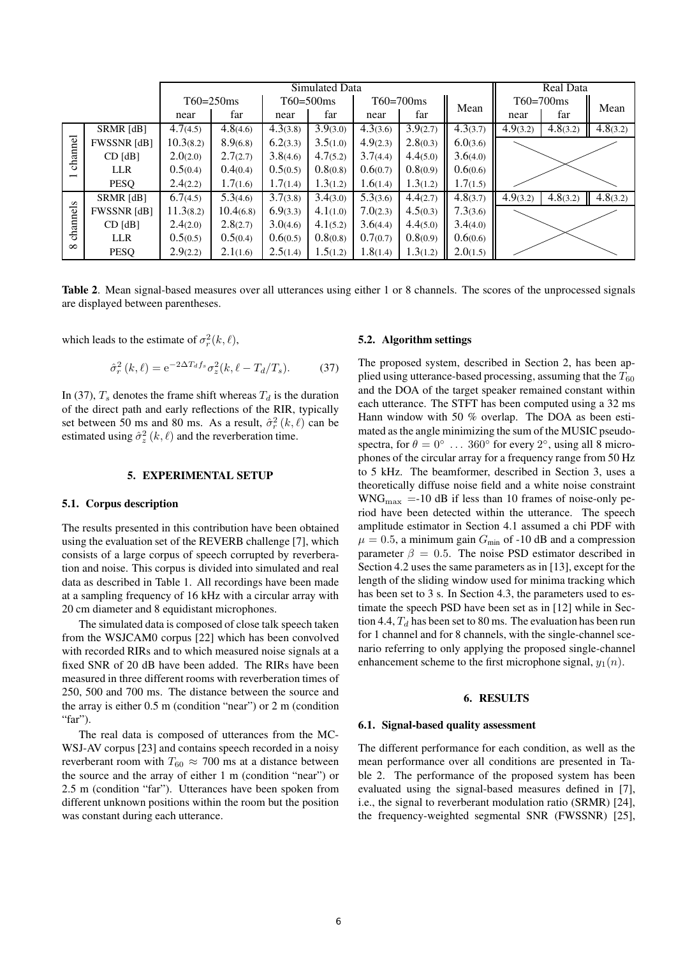|                                     |                    | Simulated Data |           |                |          |                |          | Real Data |                       |                        |          |
|-------------------------------------|--------------------|----------------|-----------|----------------|----------|----------------|----------|-----------|-----------------------|------------------------|----------|
|                                     |                    | $T60 = 250$ ms |           | $T60 = 500$ ms |          | $T60 = 700$ ms |          | Mean      | $T60=700$ ms          |                        | Mean     |
|                                     |                    | near           | far       | near           | far      | near           | far      |           | near                  | far                    |          |
| channel<br>$\overline{\phantom{0}}$ | SRMR [dB]          | 4.7(4.5)       | 4.8(4.6)  | 4.3(3.8)       | 3.9(3.0) | 4.3(3.6)       | 3.9(2.7) | 4.3(3.7)  | $\overline{4}.9(3.2)$ | $\overline{4.8}$ (3.2) | 4.8(3.2) |
|                                     | FWSSNR [dB]        | 10.3(8.2)      | 8.9(6.8)  | 6.2(3.3)       | 3.5(1.0) | 4.9(2.3)       | 2.8(0.3) | 6.0(3.6)  |                       |                        |          |
|                                     | $CD$ [dB]          | 2.0(2.0)       | 2.7(2.7)  | 3.8(4.6)       | 4.7(5.2) | 3.7(4.4)       | 4.4(5.0) | 3.6(4.0)  |                       |                        |          |
|                                     | <b>LLR</b>         | 0.5(0.4)       | 0.4(0.4)  | 0.5(0.5)       | 0.8(0.8) | 0.6(0.7)       | 0.8(0.9) | 0.6(0.6)  |                       |                        |          |
|                                     | <b>PESO</b>        | 2.4(2.2)       | 1.7(1.6)  | 1.7(1.4)       | 1.3(1.2) | 1.6(1.4)       | 1.3(1.2) | 1.7(1.5)  |                       |                        |          |
| channels<br>$\infty$                | SRMR [dB]          | 6.7(4.5)       | 5.3(4.6)  | 3.7(3.8)       | 3.4(3.0) | 5.3(3.6)       | 4.4(2.7) | 4.8(3.7)  | 4.9(3.2)              | 4.8(3.2)               | 4.8(3.2) |
|                                     | <b>FWSSNR</b> [dB] | 11.3(8.2)      | 10.4(6.8) | 6.9(3.3)       | 4.1(1.0) | 7.0(2.3)       | 4.5(0.3) | 7.3(3.6)  |                       |                        |          |
|                                     | $CD$ [dB]          | 2.4(2.0)       | 2.8(2.7)  | 3.0(4.6)       | 4.1(5.2) | 3.6(4.4)       | 4.4(5.0) | 3.4(4.0)  |                       |                        |          |
|                                     | <b>LLR</b>         | 0.5(0.5)       | 0.5(0.4)  | 0.6(0.5)       | 0.8(0.8) | 0.7(0.7)       | 0.8(0.9) | 0.6(0.6)  |                       |                        |          |
|                                     | PESQ               | 2.9(2.2)       | 2.1(1.6)  | 2.5(1.4)       | 1.5(1.2) | 1.8(1.4)       | 1.3(1.2) | 2.0(1.5)  |                       |                        |          |

Table 2. Mean signal-based measures over all utterances using either 1 or 8 channels. The scores of the unprocessed signals are displayed between parentheses.

which leads to the estimate of  $\sigma_r^2(k,\ell)$ ,

$$
\hat{\sigma}_r^2(k,\ell) = e^{-2\Delta T_d f_s} \sigma_z^2(k,\ell - T_d/T_s). \tag{37}
$$

In (37),  $T_s$  denotes the frame shift whereas  $T_d$  is the duration of the direct path and early reflections of the RIR, typically set between 50 ms and 80 ms. As a result,  $\hat{\sigma}_r^2(k,\ell)$  can be estimated using  $\hat{\sigma}_z^2(k,\ell)$  and the reverberation time.

#### 5. EXPERIMENTAL SETUP

## 5.1. Corpus description

The results presented in this contribution have been obtained using the evaluation set of the REVERB challenge [7], which consists of a large corpus of speech corrupted by reverberation and noise. This corpus is divided into simulated and real data as described in Table 1. All recordings have been made at a sampling frequency of 16 kHz with a circular array with 20 cm diameter and 8 equidistant microphones.

The simulated data is composed of close talk speech taken from the WSJCAM0 corpus [22] which has been convolved with recorded RIRs and to which measured noise signals at a fixed SNR of 20 dB have been added. The RIRs have been measured in three different rooms with reverberation times of 250, 500 and 700 ms. The distance between the source and the array is either 0.5 m (condition "near") or 2 m (condition "far").

The real data is composed of utterances from the MC-WSJ-AV corpus [23] and contains speech recorded in a noisy reverberant room with  $T_{60} \approx 700$  ms at a distance between the source and the array of either 1 m (condition "near") or 2.5 m (condition "far"). Utterances have been spoken from different unknown positions within the room but the position was constant during each utterance.

## 5.2. Algorithm settings

The proposed system, described in Section 2, has been applied using utterance-based processing, assuming that the  $T_{60}$ and the DOA of the target speaker remained constant within each utterance. The STFT has been computed using a 32 ms Hann window with 50 % overlap. The DOA as been estimated as the angle minimizing the sum of the MUSIC pseudospectra, for  $\theta = 0^{\circ} \dots 360^{\circ}$  for every  $2^{\circ}$ , using all 8 microphones of the circular array for a frequency range from 50 Hz to 5 kHz. The beamformer, described in Section 3, uses a theoretically diffuse noise field and a white noise constraint  $WNG_{\text{max}} = -10$  dB if less than 10 frames of noise-only period have been detected within the utterance. The speech amplitude estimator in Section 4.1 assumed a chi PDF with  $\mu = 0.5$ , a minimum gain  $G_{\text{min}}$  of -10 dB and a compression parameter  $\beta = 0.5$ . The noise PSD estimator described in Section 4.2 uses the same parameters as in [13], except for the length of the sliding window used for minima tracking which has been set to 3 s. In Section 4.3, the parameters used to estimate the speech PSD have been set as in [12] while in Section 4.4,  $T_d$  has been set to 80 ms. The evaluation has been run for 1 channel and for 8 channels, with the single-channel scenario referring to only applying the proposed single-channel enhancement scheme to the first microphone signal,  $y_1(n)$ .

#### 6. RESULTS

#### 6.1. Signal-based quality assessment

The different performance for each condition, as well as the mean performance over all conditions are presented in Table 2. The performance of the proposed system has been evaluated using the signal-based measures defined in [7], i.e., the signal to reverberant modulation ratio (SRMR) [24], the frequency-weighted segmental SNR (FWSSNR) [25],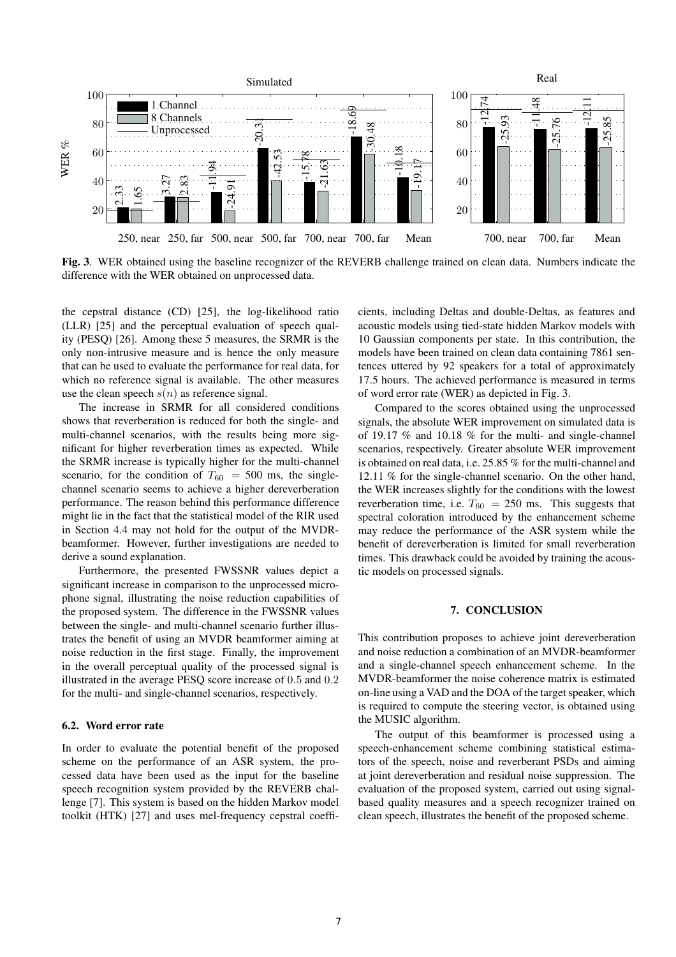

Fig. 3. WER obtained using the baseline recognizer of the REVERB challenge trained on clean data. Numbers indicate the difference with the WER obtained on unprocessed data.

the cepstral distance (CD) [25], the log-likelihood ratio (LLR) [25] and the perceptual evaluation of speech quality (PESQ) [26]. Among these 5 measures, the SRMR is the only non-intrusive measure and is hence the only measure that can be used to evaluate the performance for real data, for which no reference signal is available. The other measures use the clean speech  $s(n)$  as reference signal.

The increase in SRMR for all considered conditions shows that reverberation is reduced for both the single- and multi-channel scenarios, with the results being more significant for higher reverberation times as expected. While the SRMR increase is typically higher for the multi-channel scenario, for the condition of  $T_{60} = 500$  ms, the singlechannel scenario seems to achieve a higher dereverberation performance. The reason behind this performance difference might lie in the fact that the statistical model of the RIR used in Section 4.4 may not hold for the output of the MVDRbeamformer. However, further investigations are needed to derive a sound explanation.

Furthermore, the presented FWSSNR values depict a significant increase in comparison to the unprocessed microphone signal, illustrating the noise reduction capabilities of the proposed system. The difference in the FWSSNR values between the single- and multi-channel scenario further illustrates the benefit of using an MVDR beamformer aiming at noise reduction in the first stage. Finally, the improvement in the overall perceptual quality of the processed signal is illustrated in the average PESQ score increase of 0.5 and 0.2 for the multi- and single-channel scenarios, respectively.

## 6.2. Word error rate

In order to evaluate the potential benefit of the proposed scheme on the performance of an ASR system, the processed data have been used as the input for the baseline speech recognition system provided by the REVERB challenge [7]. This system is based on the hidden Markov model toolkit (HTK) [27] and uses mel-frequency cepstral coefficients, including Deltas and double-Deltas, as features and acoustic models using tied-state hidden Markov models with 10 Gaussian components per state. In this contribution, the models have been trained on clean data containing 7861 sentences uttered by 92 speakers for a total of approximately 17.5 hours. The achieved performance is measured in terms of word error rate (WER) as depicted in Fig. 3.

Compared to the scores obtained using the unprocessed signals, the absolute WER improvement on simulated data is of 19.17 % and 10.18 % for the multi- and single-channel scenarios, respectively. Greater absolute WER improvement is obtained on real data, i.e. 25.85 % for the multi-channel and 12.11 % for the single-channel scenario. On the other hand, the WER increases slightly for the conditions with the lowest reverberation time, i.e.  $T_{60} = 250$  ms. This suggests that spectral coloration introduced by the enhancement scheme may reduce the performance of the ASR system while the benefit of dereverberation is limited for small reverberation times. This drawback could be avoided by training the acoustic models on processed signals.

#### 7. CONCLUSION

This contribution proposes to achieve joint dereverberation and noise reduction a combination of an MVDR-beamformer and a single-channel speech enhancement scheme. In the MVDR-beamformer the noise coherence matrix is estimated on-line using a VAD and the DOA of the target speaker, which is required to compute the steering vector, is obtained using the MUSIC algorithm.

The output of this beamformer is processed using a speech-enhancement scheme combining statistical estimators of the speech, noise and reverberant PSDs and aiming at joint dereverberation and residual noise suppression. The evaluation of the proposed system, carried out using signalbased quality measures and a speech recognizer trained on clean speech, illustrates the benefit of the proposed scheme.